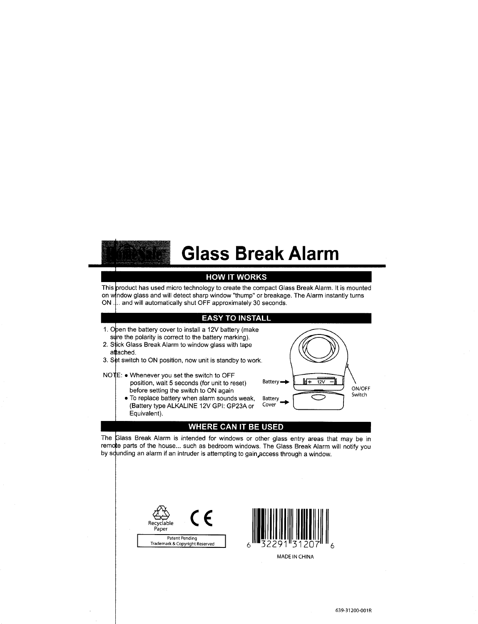# Glass Break Alarm

### **HOW IT WORKS**

This product has used micro technology to create the compact Glass Break Alarm. It is mounted on window glass and will detect sharp window "thump" or breakage. The Alarm instantly turns ON ... and will automatically shut OFF approximately 30 seconds.

#### **EASY TO INSTALL**

- 1. Open the battery cover to install a 12V battery (make sure the polarity is correct to the battery marking).
- 2. Stick Glass Break Alarm to window glass with tape attached.
- 3. S**e**t switch to ON position, now unit is standby to work
- NOTE: Whenever you set the switch to OFF position, wait 5 seconds (for unit to reset) before setting the switch to ON again
	- To replace battery when alarm sounds weak, (Battery type ALKALINE 12V GPI: GP23A or Equivalent).



### **WHERE CAN IT BE USED**

The Glass Break Alarm is intended for windows or other glass entry areas that may be in by squnding an alarm if an intruder is attempting to gain access through a window remote parts of the house... such as bedroom windows. The Glass Break Alarm will notify you





**MADE IN CHINA**